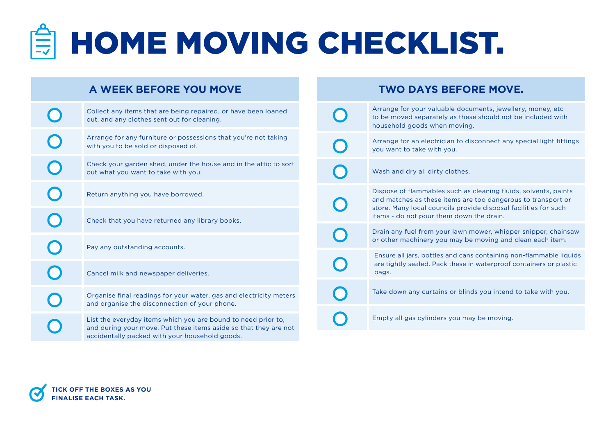## **END HOME MOVING CHECKLIST.**

| A WEEK BEFORE YOU MOVE                                                                                                                                                              |  |  | <b>TWO DAYS BEFORE MOVE.</b>                                                                                                                                                                                                                   |
|-------------------------------------------------------------------------------------------------------------------------------------------------------------------------------------|--|--|------------------------------------------------------------------------------------------------------------------------------------------------------------------------------------------------------------------------------------------------|
| Collect any items that are being repaired, or have been loaned<br>out, and any clothes sent out for cleaning.                                                                       |  |  | Arrange for your valuable documents, jewellery, money, etc.<br>to be moved separately as these should not be included with<br>household goods when moving.                                                                                     |
| Arrange for any furniture or possessions that you're not taking<br>with you to be sold or disposed of.                                                                              |  |  | Arrange for an electrician to disconnect any special light fittings<br>you want to take with you.                                                                                                                                              |
| Check your garden shed, under the house and in the attic to sort<br>out what you want to take with you.                                                                             |  |  | Wash and dry all dirty clothes.                                                                                                                                                                                                                |
| Return anything you have borrowed.                                                                                                                                                  |  |  | Dispose of flammables such as cleaning fluids, solvents, paints<br>and matches as these items are too dangerous to transport or<br>store. Many local councils provide disposal facilities for such<br>items - do not pour them down the drain. |
| Check that you have returned any library books.                                                                                                                                     |  |  |                                                                                                                                                                                                                                                |
| Pay any outstanding accounts.                                                                                                                                                       |  |  | Drain any fuel from your lawn mower, whipper snipper, chainsaw<br>or other machinery you may be moving and clean each item.                                                                                                                    |
|                                                                                                                                                                                     |  |  | Ensure all jars, bottles and cans containing non-flammable liquids<br>are tightly sealed. Pack these in waterproof containers or plastic<br>bags.                                                                                              |
| Cancel milk and newspaper deliveries.                                                                                                                                               |  |  |                                                                                                                                                                                                                                                |
| Organise final readings for your water, gas and electricity meters<br>and organise the disconnection of your phone.                                                                 |  |  | Take down any curtains or blinds you intend to take with you.                                                                                                                                                                                  |
| List the everyday items which you are bound to need prior to,<br>and during your move. Put these items aside so that they are not<br>accidentally packed with your household goods. |  |  | Empty all gas cylinders you may be moving.                                                                                                                                                                                                     |